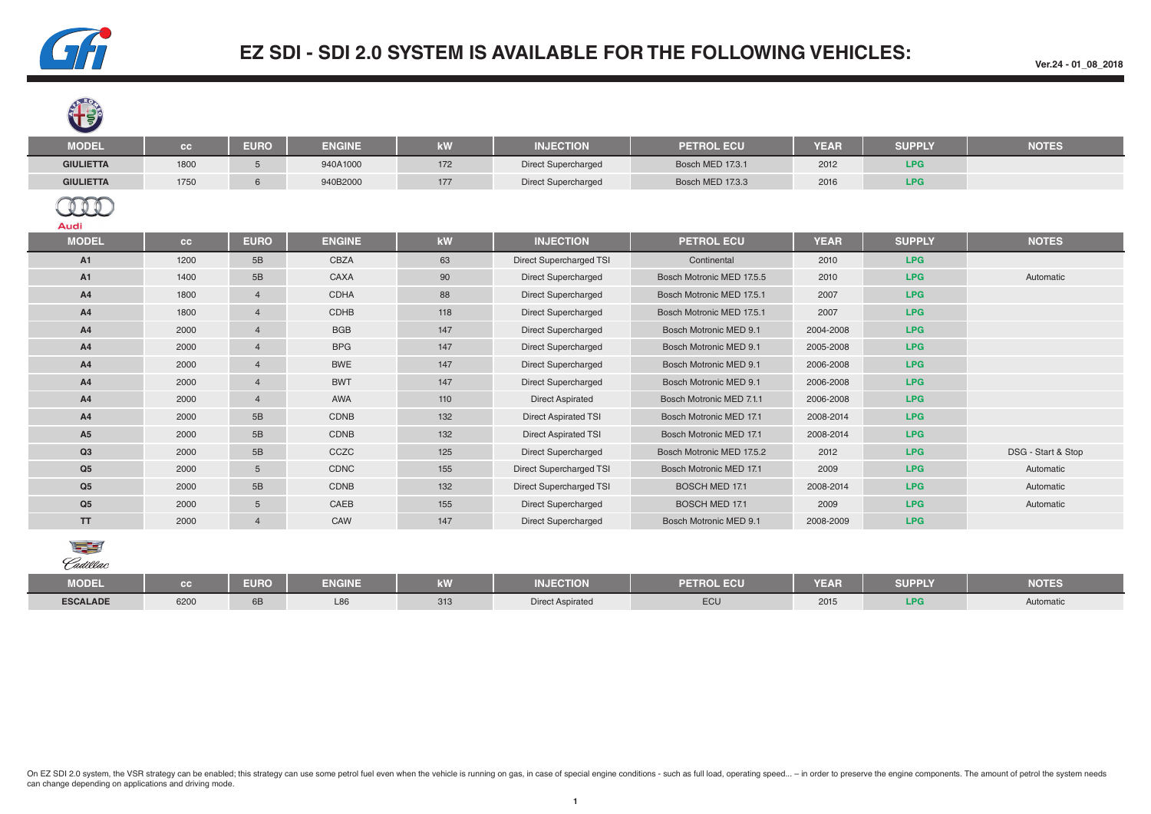

**SP ROMA** 

## **EZ SDI - SDI 2.0 SYSTEM IS AVAILABLE FOR THE FOLLOWING VEHICLES:**

| <b>TA</b>        |      |                |               |     |                             |                           |             |               |                    |
|------------------|------|----------------|---------------|-----|-----------------------------|---------------------------|-------------|---------------|--------------------|
| <b>MODEL</b>     | cc   | <b>EURO</b>    | <b>ENGINE</b> | kW  | <b>INJECTION</b>            | <b>PETROL ECU</b>         | <b>YEAR</b> | <b>SUPPLY</b> | <b>NOTES</b>       |
| <b>GIULIETTA</b> | 1800 | 5              | 940A1000      | 172 | <b>Direct Supercharged</b>  | Bosch MED 17.3.1          | 2012        | LPG           |                    |
| <b>GIULIETTA</b> | 1750 | 6              | 940B2000      | 177 | <b>Direct Supercharged</b>  | Bosch MED 17.3.3          | 2016        | LPG           |                    |
| Audi             |      |                |               |     |                             |                           |             |               |                    |
| <b>MODEL</b>     | cc   | <b>EURO</b>    | <b>ENGINE</b> | kW  | <b>INJECTION</b>            | <b>PETROL ECU</b>         | <b>YEAR</b> | <b>SUPPLY</b> | <b>NOTES</b>       |
| A1               | 1200 | 5B             | CBZA          | 63  | Direct Supercharged TSI     | Continental               | 2010        | LPG           |                    |
| A1               | 1400 | 5B             | CAXA          | 90  | <b>Direct Supercharged</b>  | Bosch Motronic MED 17.5.5 | 2010        | LPG           | Automatic          |
| A4               | 1800 | $\overline{4}$ | <b>CDHA</b>   | 88  | <b>Direct Supercharged</b>  | Bosch Motronic MED 17.5.1 | 2007        | LPG           |                    |
| A4               | 1800 | $\overline{4}$ | CDHB          | 118 | <b>Direct Supercharged</b>  | Bosch Motronic MED 17.5.1 | 2007        | LPG           |                    |
| A4               | 2000 | $\overline{4}$ | <b>BGB</b>    | 147 | <b>Direct Supercharged</b>  | Bosch Motronic MED 9.1    | 2004-2008   | LPG           |                    |
| A4               | 2000 | $\overline{4}$ | <b>BPG</b>    | 147 | <b>Direct Supercharged</b>  | Bosch Motronic MED 9.1    | 2005-2008   | LPG           |                    |
| A4               | 2000 | $\overline{4}$ | <b>BWE</b>    | 147 | <b>Direct Supercharged</b>  | Bosch Motronic MED 9.1    | 2006-2008   | LPG           |                    |
| A4               | 2000 | $\overline{4}$ | <b>BWT</b>    | 147 | <b>Direct Supercharged</b>  | Bosch Motronic MED 9.1    | 2006-2008   | LPG           |                    |
| A4               | 2000 | $\overline{4}$ | AWA           | 110 | <b>Direct Aspirated</b>     | Bosch Motronic MED 7.1.1  | 2006-2008   | LPG           |                    |
| A4               | 2000 | 5B             | CDNB          | 132 | <b>Direct Aspirated TSI</b> | Bosch Motronic MED 17.1   | 2008-2014   | LPG           |                    |
| A5               | 2000 | 5B             | CDNB          | 132 | <b>Direct Aspirated TSI</b> | Bosch Motronic MED 17.1   | 2008-2014   | LPG           |                    |
| Q3               | 2000 | 5B             | CCZC          | 125 | <b>Direct Supercharged</b>  | Bosch Motronic MED 17.5.2 | 2012        | LPG           | DSG - Start & Stop |
| Q <sub>5</sub>   | 2000 | 5              | CDNC          | 155 | Direct Supercharged TSI     | Bosch Motronic MED 17.1   | 2009        | LPG           | Automatic          |
| Q <sub>5</sub>   | 2000 | 5B             | CDNB          | 132 | Direct Supercharged TSI     | <b>BOSCH MED 17.1</b>     | 2008-2014   | LPG           | Automatic          |
| Q <sub>5</sub>   | 2000 | 5              | CAEB          | 155 | <b>Direct Supercharged</b>  | <b>BOSCH MED 17.1</b>     | 2009        | LPG           | Automatic          |
| <b>TT</b>        | 2000 | $\overline{4}$ | CAW           | 147 | <b>Direct Supercharged</b>  | Bosch Motronic MED 9.1    | 2008-2009   | LPG           |                    |



| <b>MODEL</b>    |      | <b>EURO</b> | <b>ENGINE</b> | $\overline{1}$<br><b>ATT</b> | <b>MILLECTION</b><br><b>INJECTION</b> | OL ECU | YEAR | <b>SUPPLY</b> | <b>NOTES</b> |
|-----------------|------|-------------|---------------|------------------------------|---------------------------------------|--------|------|---------------|--------------|
| <b>ESCALADE</b> | 6200 | <b>OD</b>   | L86           | 313                          | <b>Direct Aspirated</b>               | $ECU$  | 2015 | l Dr<br>LFJ   | Automatic    |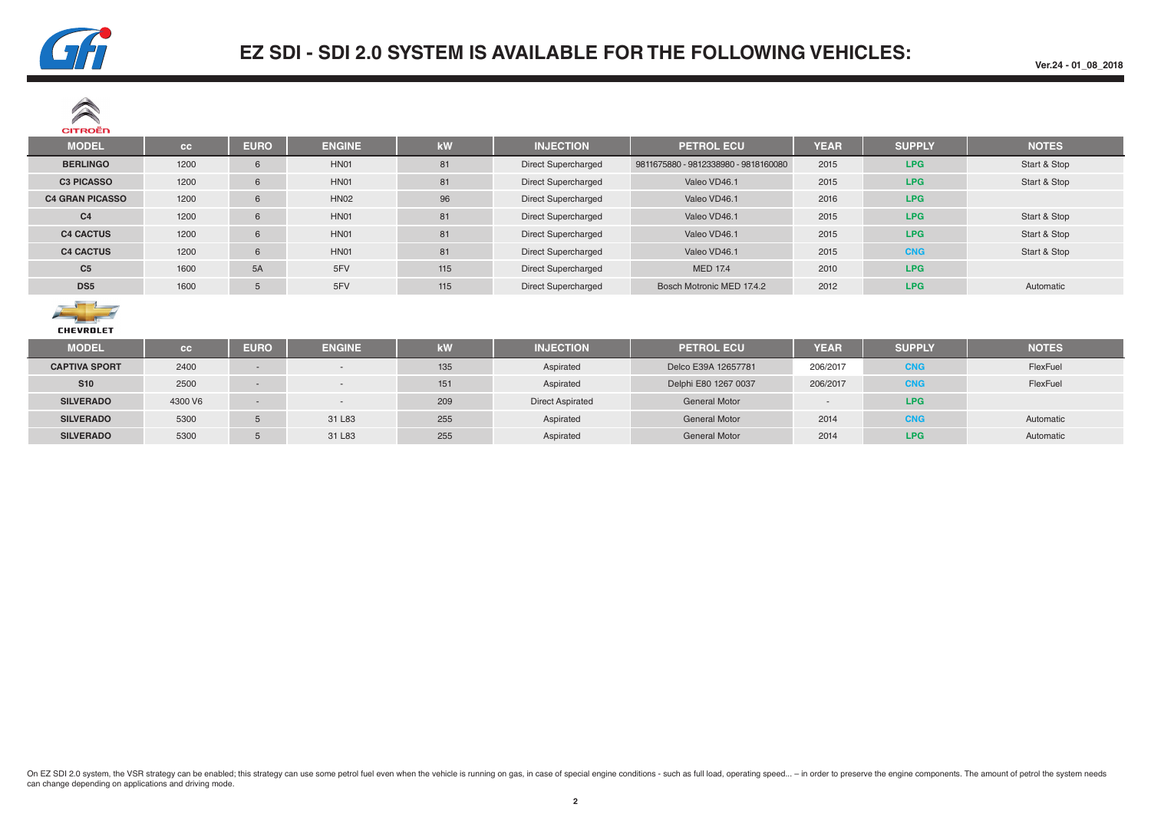

| $\sim$<br><b>CITROËN</b> |      |             |               |     |                            |                                      |             |               |              |
|--------------------------|------|-------------|---------------|-----|----------------------------|--------------------------------------|-------------|---------------|--------------|
| <b>MODEL</b>             | cc   | <b>EURO</b> | <b>ENGINE</b> | kW  | <b>INJECTION</b>           | <b>PETROL ECU</b>                    | <b>YEAR</b> | <b>SUPPLY</b> | <b>NOTES</b> |
| <b>BERLINGO</b>          | 1200 | 6           | HN01          | 81  | <b>Direct Supercharged</b> | 9811675880 - 9812338980 - 9818160080 | 2015        | LPG.          | Start & Stop |
| <b>C3 PICASSO</b>        | 1200 | 6           | <b>HN01</b>   | 81  | <b>Direct Supercharged</b> | Valeo VD46.1                         | 2015        | LPG.          | Start & Stop |
| <b>C4 GRAN PICASSO</b>   | 1200 | 6           | <b>HN02</b>   | 96  | <b>Direct Supercharged</b> | Valeo VD46.1                         | 2016        | <b>LPG</b>    |              |
| C <sub>4</sub>           | 1200 | 6           | HN01          | 81  | <b>Direct Supercharged</b> | Valeo VD46.1                         | 2015        | <b>LPG</b>    | Start & Stop |
| <b>C4 CACTUS</b>         | 1200 | 6           | HN01          | 81  | <b>Direct Supercharged</b> | Valeo VD46.1                         | 2015        | <b>LPG</b>    | Start & Stop |
| <b>C4 CACTUS</b>         | 1200 | 6           | HN01          | 81  | <b>Direct Supercharged</b> | Valeo VD46.1                         | 2015        | <b>CNG</b>    | Start & Stop |
| C <sub>5</sub>           | 1600 | 5A          | 5FV           | 115 | <b>Direct Supercharged</b> | <b>MED 17.4</b>                      | 2010        | <b>LPG</b>    |              |
| DS <sub>5</sub>          | 1600 |             | 5FV           | 115 | <b>Direct Supercharged</b> | Bosch Motronic MED 17.4.2            | 2012        | <b>LPG</b>    | Automatic    |



| ----------           |           |             |               |     |                         |                      |             |               |              |
|----------------------|-----------|-------------|---------------|-----|-------------------------|----------------------|-------------|---------------|--------------|
| <b>MODEL</b>         | <b>CG</b> | <b>EURO</b> | <b>ENGINE</b> | kW  | <b>INJECTION</b>        | <b>PETROL ECU</b>    | <b>YEAR</b> | <b>SUPPLY</b> | <b>NOTES</b> |
| <b>CAPTIVA SPORT</b> | 2400      |             |               | 135 | Aspirated               | Delco E39A 12657781  | 206/2017    | <b>CNG</b>    | FlexFuel     |
| <b>S10</b>           | 2500      |             |               | 151 | Aspirated               | Delphi E80 1267 0037 | 206/2017    | <b>CNG</b>    | FlexFuel     |
| <b>SILVERADO</b>     | 4300 V6   |             | $\sim$        | 209 | <b>Direct Aspirated</b> | <b>General Motor</b> |             | <b>LPG</b>    |              |
| <b>SILVERADO</b>     | 5300      |             | 31 L83        | 255 | Aspirated               | <b>General Motor</b> | 2014        | <b>CNG</b>    | Automatic    |
| <b>SILVERADO</b>     | 5300      |             | 31 L83        | 255 | Aspirated               | <b>General Motor</b> | 2014        | <b>LPG</b>    | Automatic    |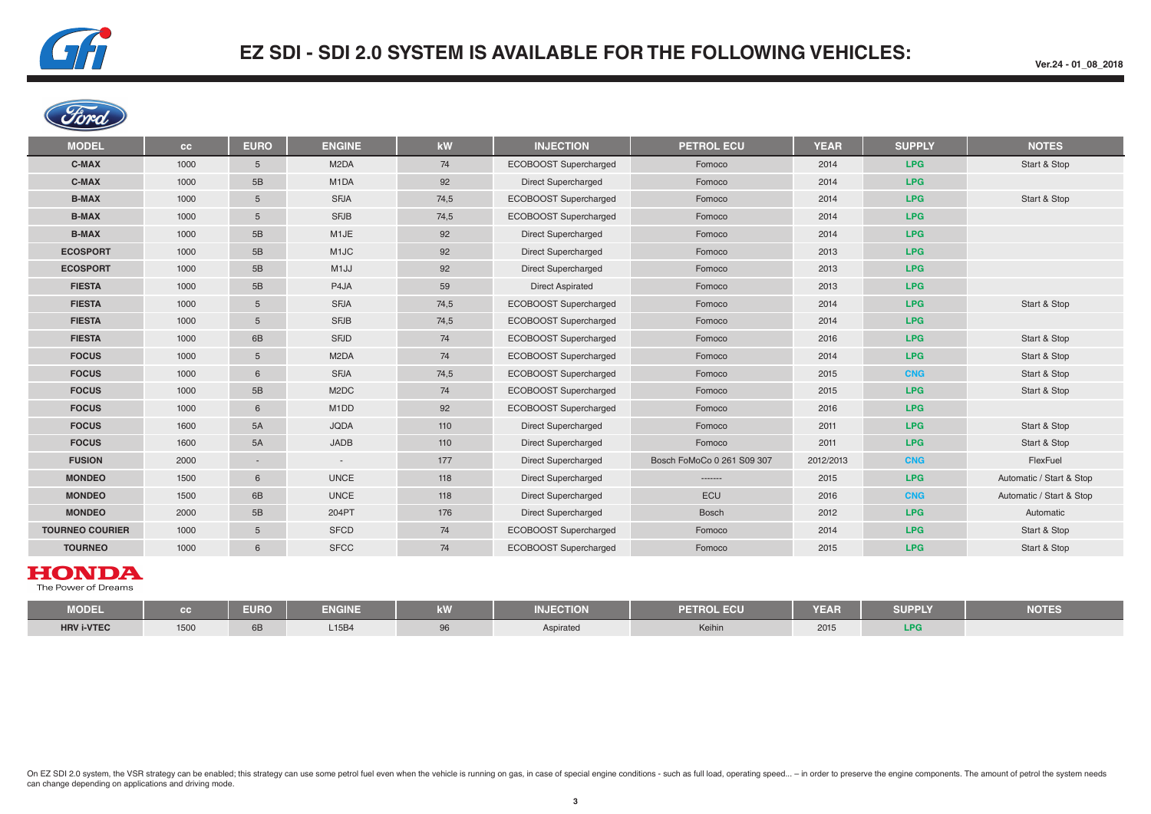

**Ver.24 - 01\_08\_2018**



| <b>MODEL</b>           | cc   | <b>EURO</b> | <b>ENGINE</b>                 | kW   | <b>INJECTION</b>           | <b>PETROL ECU</b>          | <b>YEAR</b> | <b>SUPPLY</b> | <b>NOTES</b>             |
|------------------------|------|-------------|-------------------------------|------|----------------------------|----------------------------|-------------|---------------|--------------------------|
| C-MAX                  | 1000 | 5           | M <sub>2</sub> DA             | 74   | ECOBOOST Supercharged      | Fomoco                     | 2014        | <b>LPG</b>    | Start & Stop             |
| C-MAX                  | 1000 | 5B          | M <sub>1</sub> DA             | 92   | <b>Direct Supercharged</b> | Fomoco                     | 2014        | <b>LPG</b>    |                          |
| <b>B-MAX</b>           | 1000 | 5           | <b>SFJA</b>                   | 74,5 | ECOBOOST Supercharged      | Fomoco                     | 2014        | LPG           | Start & Stop             |
| <b>B-MAX</b>           | 1000 | 5           | <b>SFJB</b>                   | 74,5 | ECOBOOST Supercharged      | Fomoco                     | 2014        | LPG           |                          |
| <b>B-MAX</b>           | 1000 | 5B          | M1JE                          | 92   | Direct Supercharged        | Fomoco                     | 2014        | LPG           |                          |
| <b>ECOSPORT</b>        | 1000 | 5B          | M <sub>1</sub> JC             | 92   | <b>Direct Supercharged</b> | Fomoco                     | 2013        | <b>LPG</b>    |                          |
| <b>ECOSPORT</b>        | 1000 | 5B          | M <sub>1</sub> JJ             | 92   | <b>Direct Supercharged</b> | Fomoco                     | 2013        | <b>LPG</b>    |                          |
| <b>FIESTA</b>          | 1000 | 5B          | P4JA                          | 59   | <b>Direct Aspirated</b>    | Fomoco                     | 2013        | <b>LPG</b>    |                          |
| <b>FIESTA</b>          | 1000 | 5           | <b>SFJA</b>                   | 74,5 | ECOBOOST Supercharged      | Fomoco                     | 2014        | <b>LPG</b>    | Start & Stop             |
| <b>FIESTA</b>          | 1000 | 5           | <b>SFJB</b>                   | 74,5 | ECOBOOST Supercharged      | Fomoco                     | 2014        | LPG           |                          |
| <b>FIESTA</b>          | 1000 | 6B          | <b>SFJD</b>                   | 74   | ECOBOOST Supercharged      | Fomoco                     | 2016        | LPG           | Start & Stop             |
| <b>FOCUS</b>           | 1000 | 5           | M <sub>2</sub> DA             | 74   | ECOBOOST Supercharged      | Fomoco                     | 2014        | LPG           | Start & Stop             |
| <b>FOCUS</b>           | 1000 | 6           | <b>SFJA</b>                   | 74,5 | ECOBOOST Supercharged      | Fomoco                     | 2015        | <b>CNG</b>    | Start & Stop             |
| <b>FOCUS</b>           | 1000 | 5B          | M <sub>2</sub> DC             | 74   | ECOBOOST Supercharged      | Fomoco                     | 2015        | <b>LPG</b>    | Start & Stop             |
| <b>FOCUS</b>           | 1000 | 6           | M <sub>1</sub> D <sub>D</sub> | 92   | ECOBOOST Supercharged      | Fomoco                     | 2016        | <b>LPG</b>    |                          |
| <b>FOCUS</b>           | 1600 | 5A          | <b>JQDA</b>                   | 110  | <b>Direct Supercharged</b> | Fomoco                     | 2011        | <b>LPG</b>    | Start & Stop             |
| <b>FOCUS</b>           | 1600 | 5A          | JADB                          | 110  | <b>Direct Supercharged</b> | Fomoco                     | 2011        | <b>LPG</b>    | Start & Stop             |
| <b>FUSION</b>          | 2000 | $\sim$      | $\sim$                        | 177  | <b>Direct Supercharged</b> | Bosch FoMoCo 0 261 S09 307 | 2012/2013   | <b>CNG</b>    | FlexFuel                 |
| <b>MONDEO</b>          | 1500 | 6           | <b>UNCE</b>                   | 118  | Direct Supercharged        | -------                    | 2015        | LPG           | Automatic / Start & Stop |
| <b>MONDEO</b>          | 1500 | 6B          | <b>UNCE</b>                   | 118  | <b>Direct Supercharged</b> | ECU                        | 2016        | <b>CNG</b>    | Automatic / Start & Stop |
| <b>MONDEO</b>          | 2000 | 5B          | 204PT                         | 176  | <b>Direct Supercharged</b> | Bosch                      | 2012        | <b>LPG</b>    | Automatic                |
| <b>TOURNEO COURIER</b> | 1000 | 5           | <b>SFCD</b>                   | 74   | ECOBOOST Supercharged      | Fomoco                     | 2014        | <b>LPG</b>    | Start & Stop             |
| <b>TOURNEO</b>         | 1000 | 6           | <b>SFCC</b>                   | 74   | ECOBOOST Supercharged      | Fomoco                     | 2015        | <b>LPG</b>    | Start & Stop             |

#### **HONDA**

The Power of Dreams

| <b>MODEL</b>      |      | <b>EURO</b> | <b>ENGINE</b> | .<br><b>KVV</b> | <b>INJECTION</b> | <b>PETROL ECU</b> | <b>YEAR</b> | <b>SUPPLY</b> | <b>NOTES</b> |
|-------------------|------|-------------|---------------|-----------------|------------------|-------------------|-------------|---------------|--------------|
| <b>HRV i-VTEC</b> | 1500 | 6B          | L15B4         |                 | Aspirated        | Keihin            | 2015        | IDC<br>2PU    |              |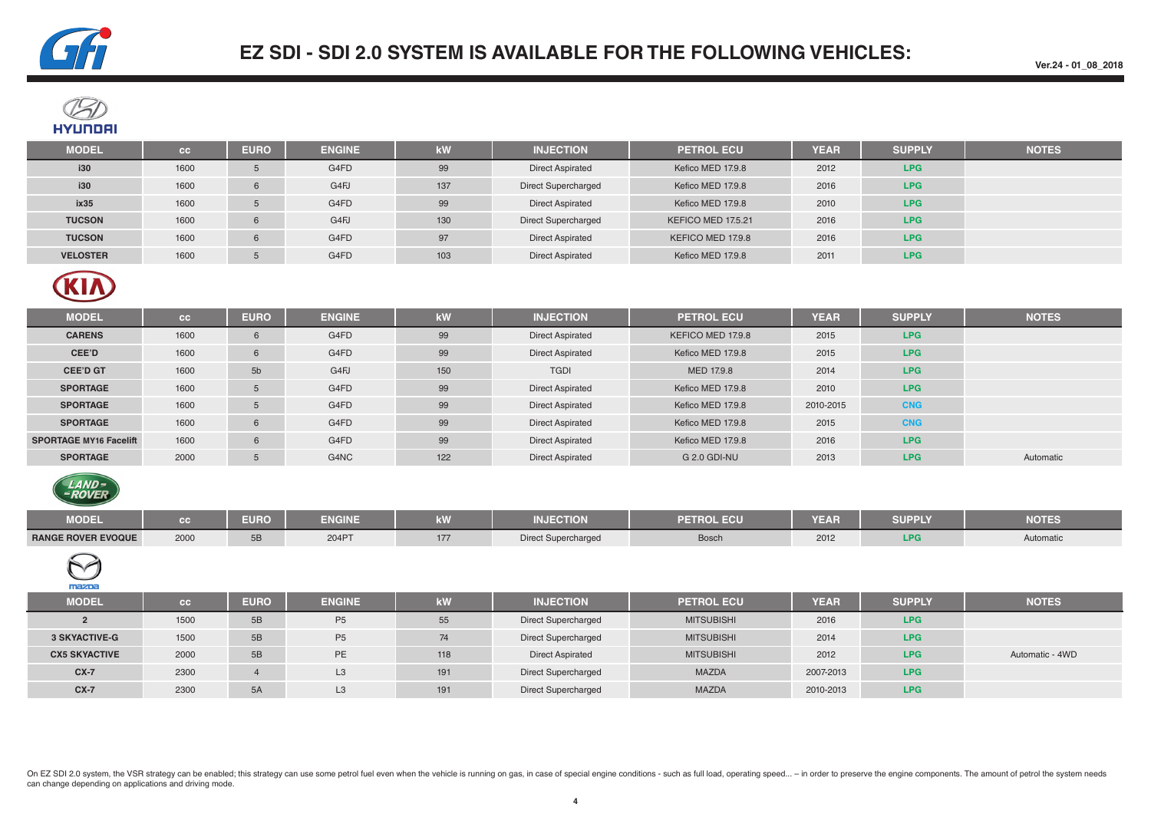

**Ver.24 - 01\_08\_2018**



| <b>MODEL</b>    | cc   | <b>EURO</b> | <b>ENGINE</b> | kW  | <b>INJECTION</b>           | <b>PETROL ECU</b>  | <b>YEAR</b> | <b>SUPPLY</b> | <b>NOTES</b> |
|-----------------|------|-------------|---------------|-----|----------------------------|--------------------|-------------|---------------|--------------|
| i30             | 1600 |             | G4FD          | 99  | <b>Direct Aspirated</b>    | Kefico MED 17.9.8  | 2012        | LPG.          |              |
| i30             | 1600 |             | G4FJ          | 137 | <b>Direct Supercharged</b> | Kefico MED 17.9.8  | 2016        | <b>LPG</b>    |              |
| ix35            | 1600 |             | G4FD          | 99  | <b>Direct Aspirated</b>    | Kefico MED 17.9.8  | 2010        | <b>LPG</b>    |              |
| <b>TUCSON</b>   | 1600 | 6           | G4FJ          | 130 | <b>Direct Supercharged</b> | KEFICO MED 17.5.21 | 2016        | LPG.          |              |
| <b>TUCSON</b>   | 1600 | 6           | G4FD          | 97  | <b>Direct Aspirated</b>    | KEFICO MED 17.9.8  | 2016        | LPG.          |              |
| <b>VELOSTER</b> | 1600 |             | G4FD          | 103 | <b>Direct Aspirated</b>    | Kefico MED 17.9.8  | 2011        | LPG.          |              |



| <b>MODEL</b>                  | cc   | <b>EURO</b>    | <b>ENGINE</b> | kW  | <b>INJECTION</b>        | <b>PETROL ECU</b>   | <b>YEAR</b> | <b>SUPPLY</b> | <b>NOTES</b> |
|-------------------------------|------|----------------|---------------|-----|-------------------------|---------------------|-------------|---------------|--------------|
| <b>CARENS</b>                 | 1600 | 6              | G4FD          | 99  | <b>Direct Aspirated</b> | KEFICO MED 17.9.8   | 2015        | LPG           |              |
| CEE'D                         | 1600 | 6              | G4FD          | 99  | <b>Direct Aspirated</b> | Kefico MED 17.9.8   | 2015        | LPG.          |              |
| <b>CEE'D GT</b>               | 1600 | 5 <sub>b</sub> | G4FJ          | 150 | <b>TGDI</b>             | MED 17.9.8          | 2014        | LPG.          |              |
| <b>SPORTAGE</b>               | 1600 | 5              | G4FD          | 99  | <b>Direct Aspirated</b> | Kefico MED 17.9.8   | 2010        | LPG.          |              |
| <b>SPORTAGE</b>               | 1600 | 5              | G4FD          | 99  | <b>Direct Aspirated</b> | Kefico MED 17.9.8   | 2010-2015   | <b>CNG</b>    |              |
| <b>SPORTAGE</b>               | 1600 | 6              | G4FD          | 99  | <b>Direct Aspirated</b> | Kefico MED 17.9.8   | 2015        | <b>CNG</b>    |              |
| <b>SPORTAGE MY16 Facelift</b> | 1600 | 6              | G4FD          | 99  | <b>Direct Aspirated</b> | Kefico MED 17.9.8   | 2016        | LPG           |              |
| <b>SPORTAGE</b>               | 2000 | 5              | G4NC          | 122 | <b>Direct Aspirated</b> | <b>G 2.0 GDI-NU</b> | 2013        | LPG.          | Automatic    |



| <b>MODEL</b>              |      | ---<br>au iv | ENGINE<br><u>ENGINE</u> | $\sim$<br><b>AND</b> | <b>INJECTION</b>           | <b>PETROL ECU</b> | <b>YEAR</b> | $\mathcal{L}^{\text{max}}_{\text{max}}$ and $\mathcal{L}^{\text{max}}_{\text{max}}$ and $\mathcal{L}^{\text{max}}_{\text{max}}$<br><b>SUPPLY</b> | <b>NOTES</b> |
|---------------------------|------|--------------|-------------------------|----------------------|----------------------------|-------------------|-------------|--------------------------------------------------------------------------------------------------------------------------------------------------|--------------|
| <b>RANGE ROVER EVOQUE</b> | 2000 |              | 204PT                   | $- -$<br>1/7         | <b>Direct Supercharged</b> | Bosch             | 2012        |                                                                                                                                                  | Automatic    |



| <b>MODEL</b>         | cc   | <b>EURO</b> | <b>ENGINE</b>  | kW  | <b>INJECTION</b>           | <b>PETROL ECU</b> | <b>YEAR</b> | <b>SUPPLY</b> | <b>NOTES</b>    |
|----------------------|------|-------------|----------------|-----|----------------------------|-------------------|-------------|---------------|-----------------|
|                      | 1500 | 5B          | P <sub>5</sub> | 55  | <b>Direct Supercharged</b> | <b>MITSUBISHI</b> | 2016        | <b>LPG</b>    |                 |
| <b>3 SKYACTIVE-G</b> | 1500 | 5B          | P <sub>5</sub> | 74  | <b>Direct Supercharged</b> | <b>MITSUBISHI</b> | 2014        | <b>LPG</b>    |                 |
| <b>CX5 SKYACTIVE</b> | 2000 | 5B          | PE             | 118 | <b>Direct Aspirated</b>    | <b>MITSUBISHI</b> | 2012        | <b>LPG</b>    | Automatic - 4WD |
| $CX-7$               | 2300 |             | L <sub>3</sub> | 191 | <b>Direct Supercharged</b> | <b>MAZDA</b>      | 2007-2013   | <b>LPG</b>    |                 |
| $CX-7$               | 2300 | 5A          | L <sub>3</sub> | 191 | <b>Direct Supercharged</b> | <b>MAZDA</b>      | 2010-2013   | <b>LPG</b>    |                 |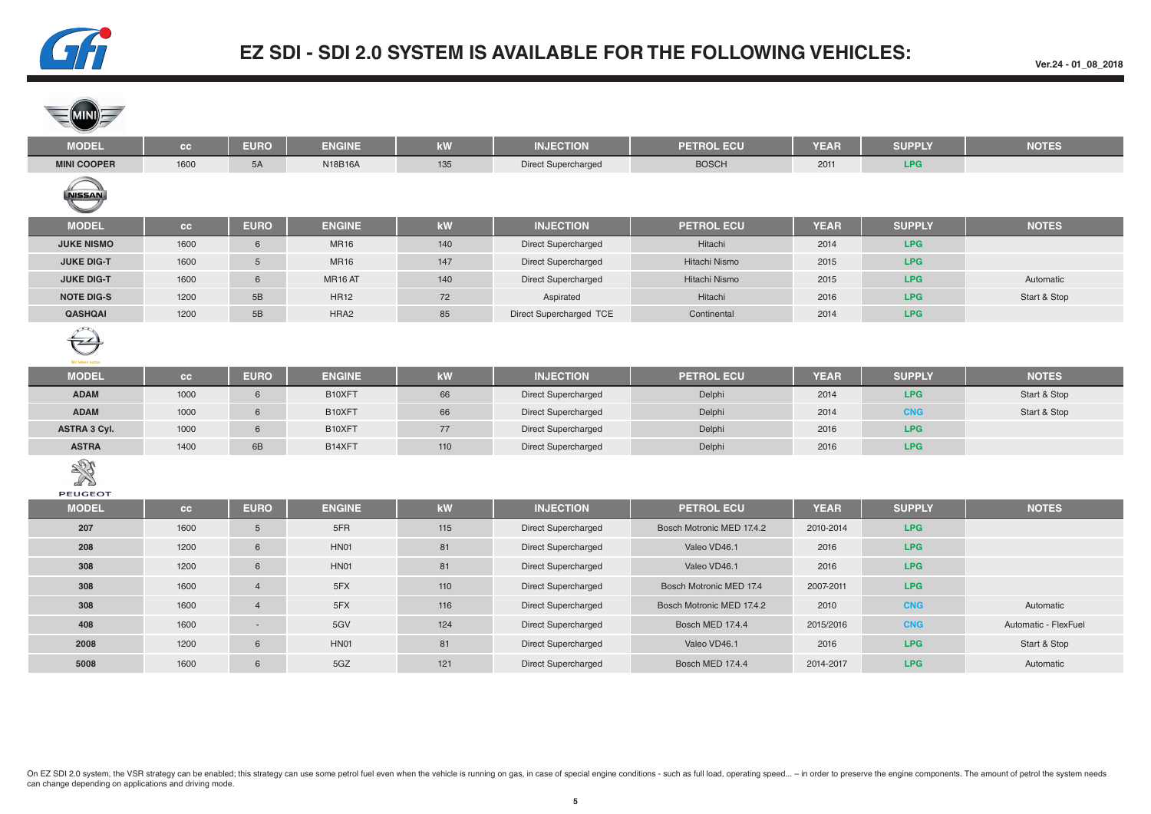

**Ver.24 - 01\_08\_2018**

| <b>MODEL</b>                          | cc   | <b>EURO</b>    | <b>ENGINE</b> | kW                     | <b>INJECTION</b>           | <b>PETROL ECU</b>         | <b>YEAR</b> | <b>SUPPLY</b> | <b>NOTES</b>         |
|---------------------------------------|------|----------------|---------------|------------------------|----------------------------|---------------------------|-------------|---------------|----------------------|
| <b>MINI COOPER</b>                    | 1600 | 5A             | N18B16A       | 135                    | <b>Direct Supercharged</b> | <b>BOSCH</b>              | 2011        | <b>LPG</b>    |                      |
| <b>NISSAN</b>                         |      |                |               |                        |                            |                           |             |               |                      |
| <b>MODEL</b>                          | cc   | <b>EURO</b>    | <b>ENGINE</b> | kW                     | <b>INJECTION</b>           | <b>PETROL ECU</b>         | <b>YEAR</b> | <b>SUPPLY</b> | <b>NOTES</b>         |
| <b>JUKE NISMO</b>                     | 1600 | 6              | <b>MR16</b>   | 140                    | <b>Direct Supercharged</b> | Hitachi                   | 2014        | <b>LPG</b>    |                      |
| <b>JUKE DIG-T</b>                     | 1600 | 5 <sup>5</sup> | <b>MR16</b>   | 147                    | Direct Supercharged        | Hitachi Nismo             | 2015        | <b>LPG</b>    |                      |
| <b>JUKE DIG-T</b>                     | 1600 | 6              | MR16 AT       | 140                    | Direct Supercharged        | Hitachi Nismo             | 2015        | <b>LPG</b>    | Automatic            |
| <b>NOTE DIG-S</b>                     | 1200 | 5B             | <b>HR12</b>   | 72                     | Aspirated                  | Hitachi                   | 2016        | <b>LPG</b>    | Start & Stop         |
| <b>QASHQAI</b>                        | 1200 | 5B             | HRA2          | 85                     | Direct Supercharged TCE    | Continental               | 2014        | <b>LPG</b>    |                      |
| $\left( -\right)$<br>Wir leben Autos. |      |                |               |                        |                            |                           |             |               |                      |
| <b>MODEL</b>                          | cc   | <b>EURO</b>    | <b>ENGINE</b> | $\mathbf{k}\mathbf{W}$ | <b>INJECTION</b>           | <b>PETROL ECU</b>         | <b>YEAR</b> | <b>SUPPLY</b> | <b>NOTES</b>         |
| <b>ADAM</b>                           | 1000 | 6              | B10XFT        | 66                     | <b>Direct Supercharged</b> | Delphi                    | 2014        | <b>LPG</b>    | Start & Stop         |
| <b>ADAM</b>                           | 1000 | 6              | B10XFT        | 66                     | <b>Direct Supercharged</b> | Delphi                    | 2014        | <b>CNG</b>    | Start & Stop         |
| <b>ASTRA 3 Cyl.</b>                   | 1000 | 6              | B10XFT        | 77                     | Direct Supercharged        | Delphi                    | 2016        | <b>LPG</b>    |                      |
| <b>ASTRA</b>                          | 1400 | 6B             | B14XFT        | 110                    | Direct Supercharged        | Delphi                    | 2016        | <b>LPG</b>    |                      |
| NEW<br>PEUGEOT                        |      |                |               |                        |                            |                           |             |               |                      |
| <b>MODEL</b>                          | cc   | <b>EURO</b>    | <b>ENGINE</b> | $\mathbf{k}\mathbf{W}$ | <b>INJECTION</b>           | <b>PETROL ECU</b>         | <b>YEAR</b> | <b>SUPPLY</b> | <b>NOTES</b>         |
| 207                                   | 1600 | 5 <sup>5</sup> | 5FR           | 115                    | <b>Direct Supercharged</b> | Bosch Motronic MED 17.4.2 | 2010-2014   | <b>LPG</b>    |                      |
| 208                                   | 1200 | 6              | HN01          | 81                     | <b>Direct Supercharged</b> | Valeo VD46.1              | 2016        | <b>LPG</b>    |                      |
| 308                                   | 1200 | 6              | HN01          | 81                     | Direct Supercharged        | Valeo VD46.1              | 2016        | <b>LPG</b>    |                      |
| 308                                   | 1600 | $\overline{4}$ | 5FX           | 110                    | Direct Supercharged        | Bosch Motronic MED 17.4   | 2007-2011   | <b>LPG</b>    |                      |
| 308                                   | 1600 | $\overline{4}$ | 5FX           | 116                    | <b>Direct Supercharged</b> | Bosch Motronic MED 17.4.2 | 2010        | <b>CNG</b>    | Automatic            |
| 408                                   | 1600 | $\sim$         | 5GV           | 124                    | <b>Direct Supercharged</b> | Bosch MED 17.4.4          | 2015/2016   | <b>CNG</b>    | Automatic - FlexFuel |
| 2008                                  | 1200 | 6              | HN01          | 81                     | Direct Supercharged        | Valeo VD46.1              | 2016        | <b>LPG</b>    | Start & Stop         |
| 5008                                  | 1600 | 6              | 5GZ           | 121                    | <b>Direct Supercharged</b> | <b>Bosch MED 17.4.4</b>   | 2014-2017   | <b>LPG</b>    | Automatic            |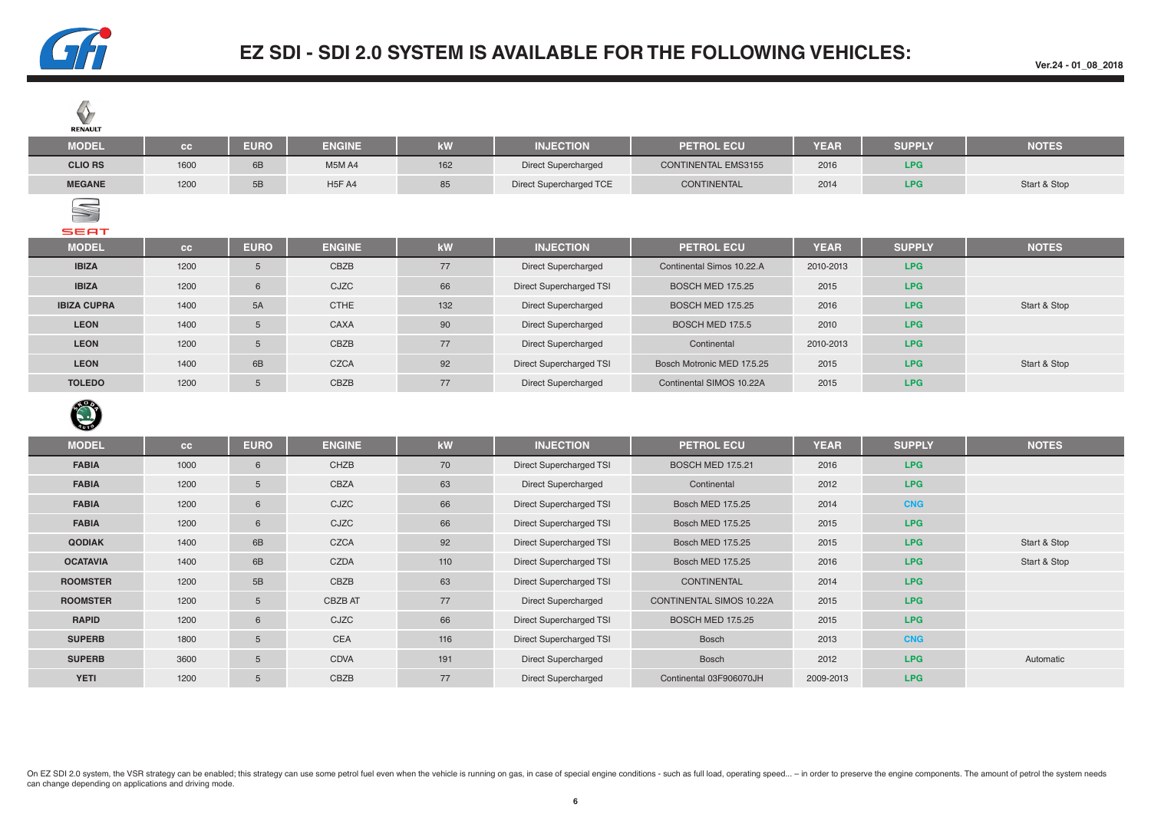

**Ver.24 - 01\_08\_2018**

| V<br><b>RENAULT</b> |      |                |                                 |     |                            |                            |             |               |              |
|---------------------|------|----------------|---------------------------------|-----|----------------------------|----------------------------|-------------|---------------|--------------|
| <b>MODEL</b>        | cc   | <b>EURO</b>    | <b>ENGINE</b>                   | kW  | <b>INJECTION</b>           | <b>PETROL ECU</b>          | <b>YEAR</b> | <b>SUPPLY</b> | <b>NOTES</b> |
| <b>CLIO RS</b>      | 1600 | 6B             | M5M A4                          | 162 | Direct Supercharged        | <b>CONTINENTAL EMS3155</b> | 2016        | LPG           |              |
| <b>MEGANE</b>       | 1200 | 5B             | H <sub>5</sub> F A <sub>4</sub> | 85  | Direct Supercharged TCE    | <b>CONTINENTAL</b>         | 2014        | LPG           | Start & Stop |
| S<br><b>SEAT</b>    |      |                |                                 |     |                            |                            |             |               |              |
| <b>MODEL</b>        | cc   | <b>EURO</b>    | <b>ENGINE</b>                   | kW  | <b>INJECTION</b>           | <b>PETROL ECU</b>          | <b>YEAR</b> | <b>SUPPLY</b> | <b>NOTES</b> |
| <b>IBIZA</b>        | 1200 | 5              | CBZB                            | 77  | <b>Direct Supercharged</b> | Continental Simos 10.22.A  | 2010-2013   | LPG           |              |
| <b>IBIZA</b>        | 1200 | 6              | CJZC                            | 66  | Direct Supercharged TSI    | <b>BOSCH MED 17.5.25</b>   | 2015        | LPG           |              |
| <b>IBIZA CUPRA</b>  | 1400 | 5A             | <b>CTHE</b>                     | 132 | <b>Direct Supercharged</b> | <b>BOSCH MED 17.5.25</b>   | 2016        | LPG           | Start & Stop |
| <b>LEON</b>         | 1400 | $5\phantom{1}$ | CAXA                            | 90  | <b>Direct Supercharged</b> | BOSCH MED 17.5.5           | 2010        | LPG           |              |
| <b>LEON</b>         | 1200 | 5              | CBZB                            | 77  | <b>Direct Supercharged</b> | Continental                | 2010-2013   | LPG           |              |
| <b>LEON</b>         | 1400 | 6B             | CZCA                            | 92  | Direct Supercharged TSI    | Bosch Motronic MED 17.5.25 | 2015        | LPG           | Start & Stop |
|                     |      |                |                                 |     |                            |                            |             |               |              |
| <b>TOLEDO</b>       | 1200 | 5              | CBZB                            | 77  | <b>Direct Supercharged</b> | Continental SIMOS 10.22A   | 2015        | LPG           |              |



| <b>MODEL</b>    | cc   | <b>EURO</b> | <b>ENGINE</b> | kW  | <b>INJECTION</b>           | <b>PETROL ECU</b>               | <b>YEAR</b> | <b>SUPPLY</b> | <b>NOTES</b> |
|-----------------|------|-------------|---------------|-----|----------------------------|---------------------------------|-------------|---------------|--------------|
| <b>FABIA</b>    | 1000 | 6           | CHZB          | 70  | Direct Supercharged TSI    | <b>BOSCH MED 17.5.21</b>        | 2016        | LPG           |              |
| <b>FABIA</b>    | 1200 | 5           | CBZA          | 63  | <b>Direct Supercharged</b> | Continental                     | 2012        | LPG           |              |
| <b>FABIA</b>    | 1200 | 6           | CJZC          | 66  | Direct Supercharged TSI    | Bosch MED 17.5.25               | 2014        | <b>CNG</b>    |              |
| <b>FABIA</b>    | 1200 | 6           | CJZC          | 66  | Direct Supercharged TSI    | Bosch MED 17.5.25               | 2015        | LPG           |              |
| <b>QODIAK</b>   | 1400 | 6B          | CZCA          | 92  | Direct Supercharged TSI    | Bosch MED 17.5.25               | 2015        | LPG           | Start & Stop |
| <b>OCATAVIA</b> | 1400 | 6B          | CZDA          | 110 | Direct Supercharged TSI    | Bosch MED 17.5.25               | 2016        | LPG           | Start & Stop |
| <b>ROOMSTER</b> | 1200 | 5B          | CBZB          | 63  | Direct Supercharged TSI    | <b>CONTINENTAL</b>              | 2014        | LPG           |              |
| <b>ROOMSTER</b> | 1200 | 5           | CBZB AT       | 77  | <b>Direct Supercharged</b> | <b>CONTINENTAL SIMOS 10.22A</b> | 2015        | LPG           |              |
| <b>RAPID</b>    | 1200 | 6           | CJZC          | 66  | Direct Supercharged TSI    | <b>BOSCH MED 17.5.25</b>        | 2015        | LPG.          |              |
| <b>SUPERB</b>   | 1800 | 5           | <b>CEA</b>    | 116 | Direct Supercharged TSI    | <b>Bosch</b>                    | 2013        | <b>CNG</b>    |              |
| <b>SUPERB</b>   | 3600 | 5           | <b>CDVA</b>   | 191 | <b>Direct Supercharged</b> | <b>Bosch</b>                    | 2012        | LPG           | Automatic    |
| <b>YETI</b>     | 1200 | 5           | CBZB          | 77  | <b>Direct Supercharged</b> | Continental 03F906070JH         | 2009-2013   | LPG           |              |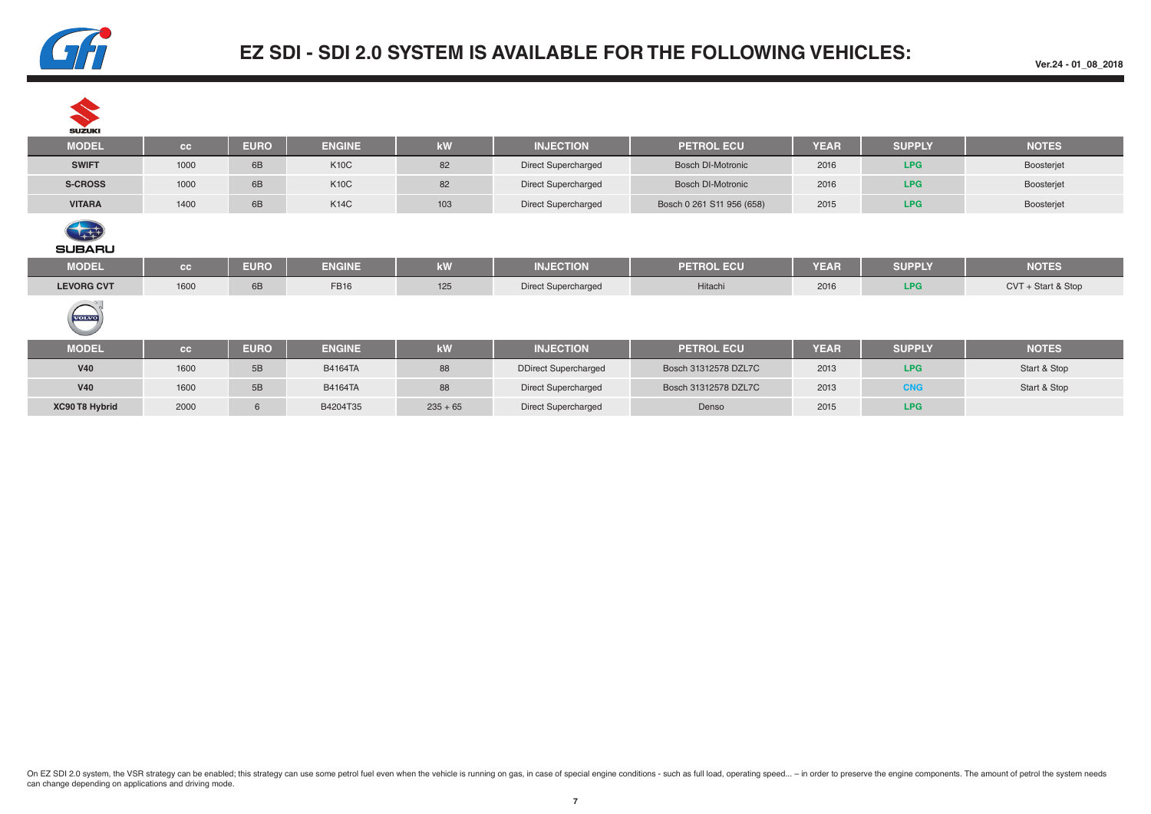

| <b>SUZUKI</b>      |           |             |                |     |                             |                           |             |               |                    |
|--------------------|-----------|-------------|----------------|-----|-----------------------------|---------------------------|-------------|---------------|--------------------|
| <b>MODEL</b>       | <b>CC</b> | <b>EURO</b> | <b>ENGINE</b>  | kW  | <b>INJECTION</b>            | <b>PETROL ECU</b>         | <b>YEAR</b> | <b>SUPPLY</b> | <b>NOTES</b>       |
| <b>SWIFT</b>       | 1000      | 6B          | <b>K10C</b>    | 82  | <b>Direct Supercharged</b>  | <b>Bosch DI-Motronic</b>  | 2016        | <b>LPG</b>    | Boosterjet         |
| <b>S-CROSS</b>     | 1000      | 6B          | <b>K10C</b>    | 82  | <b>Direct Supercharged</b>  | <b>Bosch DI-Motronic</b>  | 2016        | <b>LPG</b>    | Boosterjet         |
| <b>VITARA</b>      | 1400      | 6B          | <b>K14C</b>    | 103 | Direct Supercharged         | Bosch 0 261 S11 956 (658) | 2015        | <b>LPG</b>    | Boosterjet         |
| 每<br><b>SUBARU</b> |           |             |                |     |                             |                           |             |               |                    |
| <b>MODEL</b>       | <b>CC</b> | <b>EURO</b> | <b>ENGINE</b>  | kW  | <b>INJECTION</b>            | <b>PETROL ECU</b>         | <b>YEAR</b> | <b>SUPPLY</b> | <b>NOTES</b>       |
| <b>LEVORG CVT</b>  | 1600      | 6B          | <b>FB16</b>    | 125 | Direct Supercharged         | Hitachi                   | 2016        | <b>LPG</b>    | CVT + Start & Stop |
|                    |           |             |                |     |                             |                           |             |               |                    |
| <b>VOLVO</b>       |           |             |                |     |                             |                           |             |               |                    |
| <b>MODEL</b>       | <b>CC</b> | <b>EURO</b> | <b>ENGINE</b>  | kW  | <b>INJECTION</b>            | <b>PETROL ECU</b>         | <b>YEAR</b> | <b>SUPPLY</b> | <b>NOTES</b>       |
| <b>V40</b>         | 1600      | 5B          | <b>B4164TA</b> | 88  | <b>DDirect Supercharged</b> | Bosch 31312578 DZL7C      | 2013        | <b>LPG</b>    | Start & Stop       |
| <b>V40</b>         | 1600      | 5B          | <b>B4164TA</b> | 88  | <b>Direct Supercharged</b>  | Bosch 31312578 DZL7C      | 2013        | <b>CNG</b>    | Start & Stop       |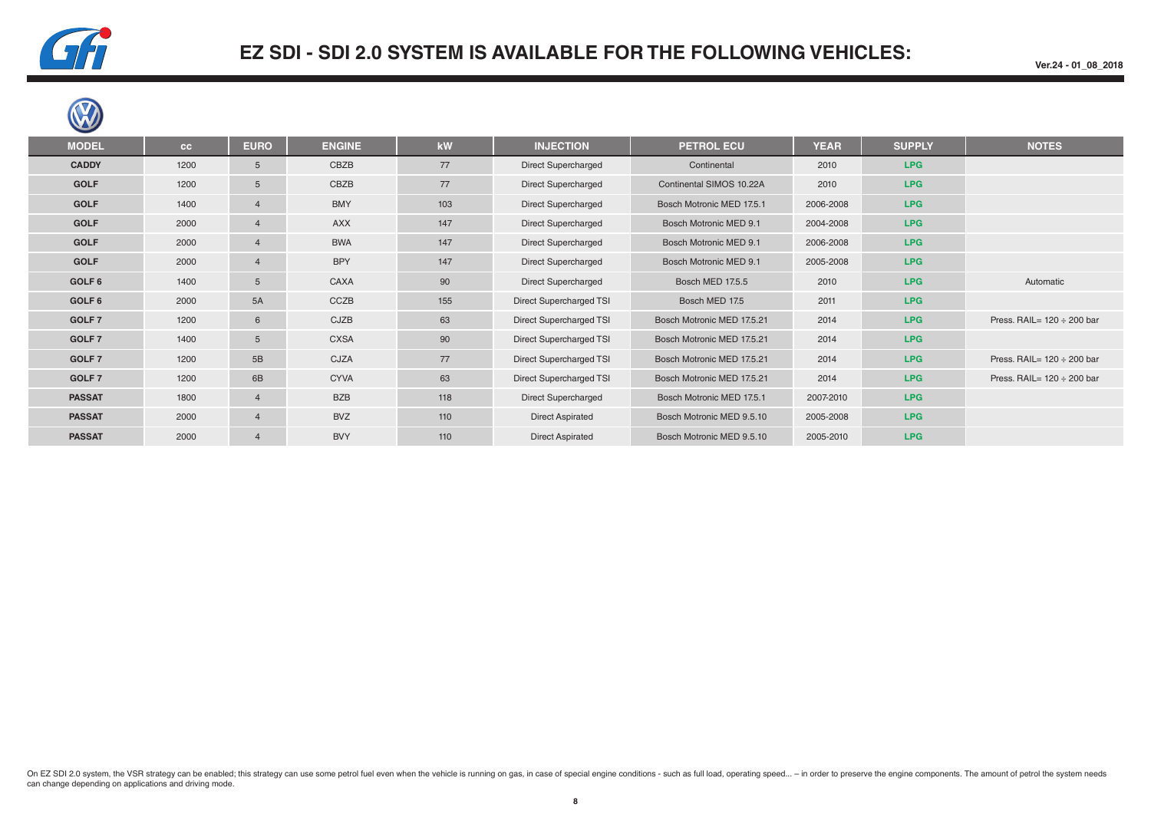

| <b>MODEL</b>  | cc   | <b>EURO</b>     | <b>ENGINE</b> | kW  | <b>INJECTION</b>           | <b>PETROL ECU</b>          | <b>YEAR</b> | <b>SUPPLY</b> | <b>NOTES</b>                    |
|---------------|------|-----------------|---------------|-----|----------------------------|----------------------------|-------------|---------------|---------------------------------|
| <b>CADDY</b>  | 1200 | 5               | CBZB          | 77  | <b>Direct Supercharged</b> | Continental                | 2010        | LPG           |                                 |
| <b>GOLF</b>   | 1200 | $5\overline{)}$ | CBZB          | 77  | Direct Supercharged        | Continental SIMOS 10.22A   | 2010        | LPG           |                                 |
| <b>GOLF</b>   | 1400 | 4               | <b>BMY</b>    | 103 | Direct Supercharged        | Bosch Motronic MED 17.5.1  | 2006-2008   | LPG           |                                 |
| <b>GOLF</b>   | 2000 | 4               | <b>AXX</b>    | 147 | Direct Supercharged        | Bosch Motronic MED 9.1     | 2004-2008   | <b>LPG</b>    |                                 |
| <b>GOLF</b>   | 2000 | $\overline{4}$  | <b>BWA</b>    | 147 | Direct Supercharged        | Bosch Motronic MED 9.1     | 2006-2008   | LPG           |                                 |
| <b>GOLF</b>   | 2000 | 4               | <b>BPY</b>    | 147 | <b>Direct Supercharged</b> | Bosch Motronic MED 9.1     | 2005-2008   | <b>LPG</b>    |                                 |
| GOLF 6        | 1400 | 5 <sup>5</sup>  | CAXA          | 90  | <b>Direct Supercharged</b> | <b>Bosch MED 17.5.5</b>    | 2010        | <b>LPG</b>    | Automatic                       |
| GOLF 6        | 2000 | 5A              | CCZB          | 155 | Direct Supercharged TSI    | Bosch MED 17.5             | 2011        | LPG           |                                 |
| GOLF 7        | 1200 | 6               | CJZB          | 63  | Direct Supercharged TSI    | Bosch Motronic MED 17.5.21 | 2014        | LPG           | Press. RAIL= $120 \div 200$ bar |
| GOLF 7        | 1400 | 5 <sup>5</sup>  | <b>CXSA</b>   | 90  | Direct Supercharged TSI    | Bosch Motronic MED 17.5.21 | 2014        | <b>LPG</b>    |                                 |
| GOLF 7        | 1200 | 5B              | CJZA          | 77  | Direct Supercharged TSI    | Bosch Motronic MED 17.5.21 | 2014        | LPG           | Press. RAIL= $120 \div 200$ bar |
| GOLF 7        | 1200 | 6B              | <b>CYVA</b>   | 63  | Direct Supercharged TSI    | Bosch Motronic MED 17.5.21 | 2014        | LPG           | Press. RAIL= $120 \div 200$ bar |
| <b>PASSAT</b> | 1800 | $\overline{4}$  | <b>BZB</b>    | 118 | Direct Supercharged        | Bosch Motronic MED 17.5.1  | 2007-2010   | <b>LPG</b>    |                                 |
| <b>PASSAT</b> | 2000 | $\overline{4}$  | <b>BVZ</b>    | 110 | <b>Direct Aspirated</b>    | Bosch Motronic MED 9.5.10  | 2005-2008   | <b>LPG</b>    |                                 |
| <b>PASSAT</b> | 2000 | $\overline{4}$  | <b>BVY</b>    | 110 | <b>Direct Aspirated</b>    | Bosch Motronic MED 9.5.10  | 2005-2010   | LPG           |                                 |